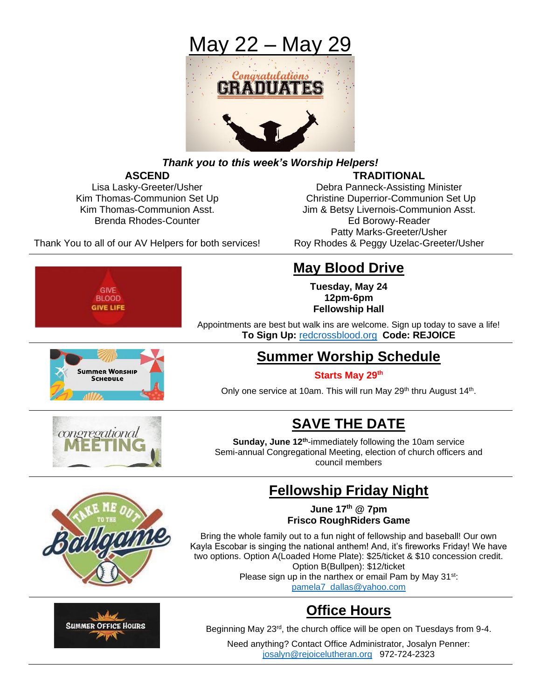

## *Thank you to this week's Worship Helpers!*

## **ASCEND TRADITIONAL**

Lisa Lasky-Greeter/Usher **Debra Panneck-Assisting Minister** Debra Panneck-Assisting Minister Kim Thomas-Communion Set Up Christine Duperrior-Communion Set Up Kim Thomas-Communion Asst. **Jim & Betsy Livernois-Communion Asst.** Jim & Betsy Livernois-Communion Asst. Brenda Rhodes-Counter **Ed Borowy-Reader** Ed Borowy-Reader Patty Marks-Greeter/Usher

Thank You to all of our AV Helpers for both services! Roy Rhodes & Peggy Uzelac-Greeter/Usher

## **May Blood Drive**

**Tuesday, May 24 12pm-6pm Fellowship Hall**

Appointments are best but walk ins are welcome. Sign up today to save a life! **To Sign Up:** [redcrossblood.org](http://www.redcrossblood.org/) **Code: REJOICE**

## **Summer Worship Schedule**

#### **Starts May 29th**

Only one service at 10am. This will run May 29<sup>th</sup> thru August 14<sup>th</sup>.



**Summer Worship** Schepule

GIVE **BLOOD GIVE LIFE** 

# **SAVE THE DATE**

Sunday, June 12<sup>th</sup>-immediately following the 10am service Semi-annual Congregational Meeting, election of church officers and council members

## **Fellowship Friday Night**

**June 17th @ 7pm Frisco RoughRiders Game**

Bring the whole family out to a fun night of fellowship and baseball! Our own Kayla Escobar is singing the national anthem! And, it's fireworks Friday! We have two options. Option A(Loaded Home Plate): \$25/ticket & \$10 concession credit. Option B(Bullpen): \$12/ticket Please sign up in the narthex or email Pam by May 31<sup>st</sup>:

[pamela7\\_dallas@yahoo.com](mailto:pamela7_dallas@yahoo.com)

# **Office Hours**

Beginning May 23rd, the church office will be open on Tuesdays from 9-4.

Need anything? Contact Office Administrator, Josalyn Penner: [josalyn@rejoicelutheran.org](mailto:josalyn@rejoicelutheran.org) 972-724-2323